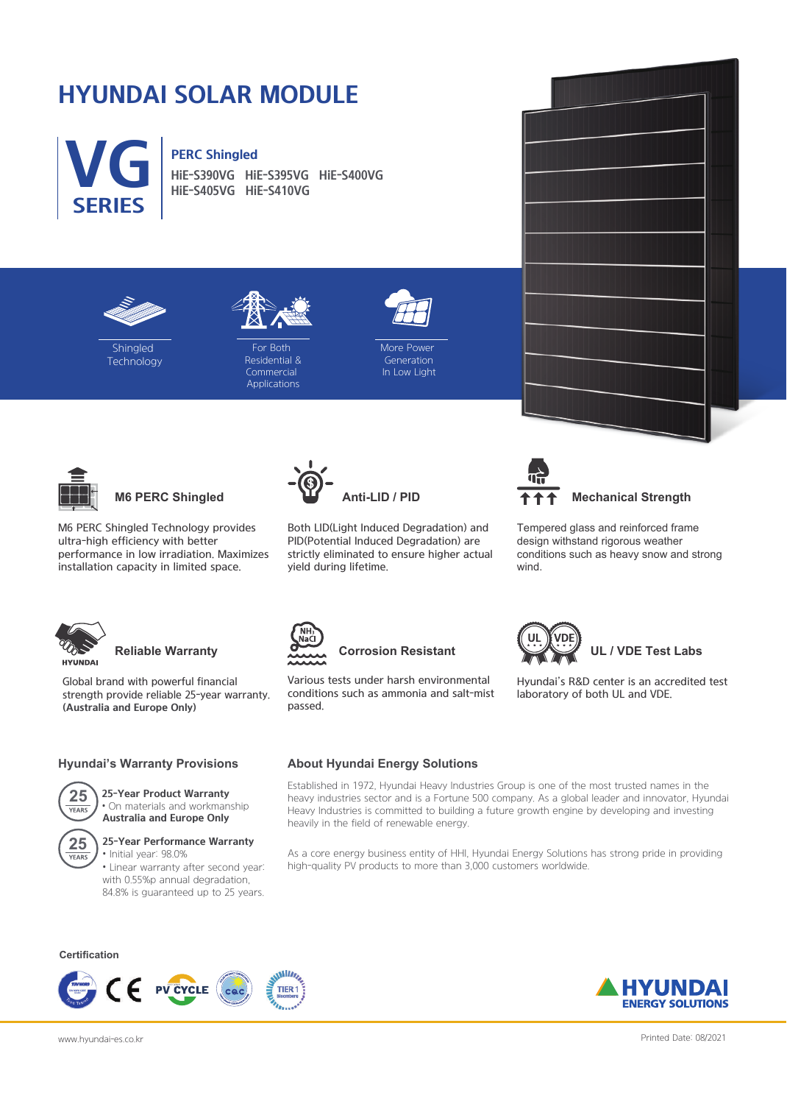# **HYUNDAI SOLAR MODULE**



## **PERC Shingled**

**HiE-S390VG HiE-S395VG HiE-S400VG HiE-S405VG HiE-S410VG**





**Shingled Technology** 

For Both Residential & **Commercial** Applications



**More Power** Generation In Low Light



**M6 PERC Shingled**

M6 PERC Shingled Technology provides ultra-high efficiency with better performance in low irradiation. Maximizes installation capacity in limited space.



Both LID(Light Induced Degradation) and PID(Potential Induced Degradation) are strictly eliminated to ensure higher actual yield during lifetime.





Tempered glass and reinforced frame design withstand rigorous weather conditions such as heavy snow and strong wind.

Hyundai's R&D center is an accredited test

 **UL / VDE Test Labs**

laboratory of both UL and VDE.



## **Reliable Warranty**

Global brand with powerful financial strength provide reliable 25-year warranty. **(Australia and Europe Only)**

### **Hyundai's Warranty Provisions**



#### **25-Year Product Warranty** • On materials and workmanship **Australia and Europe Only**



## **25-Year Performance Warranty**

• Initial year: 98.0% • Linear warranty after second year: with 0.55%p annual degradation, 84.8% is guaranteed up to 25 years.

### **Certification**





## **About Hyundai Energy Solutions**

Various tests under harsh environmental conditions such as ammonia and salt-mist

**Corrosion Resistant**

passed.

Established in 1972, Hyundai Heavy Industries Group is one of the most trusted names in the heavy industries sector and is a Fortune 500 company. As a global leader and innovator, Hyundai Heavy Industries is committed to building a future growth engine by developing and investing heavily in the field of renewable energy.

As a core energy business entity of HHI, Hyundai Energy Solutions has strong pride in providing high-quality PV products to more than 3,000 customers worldwide.